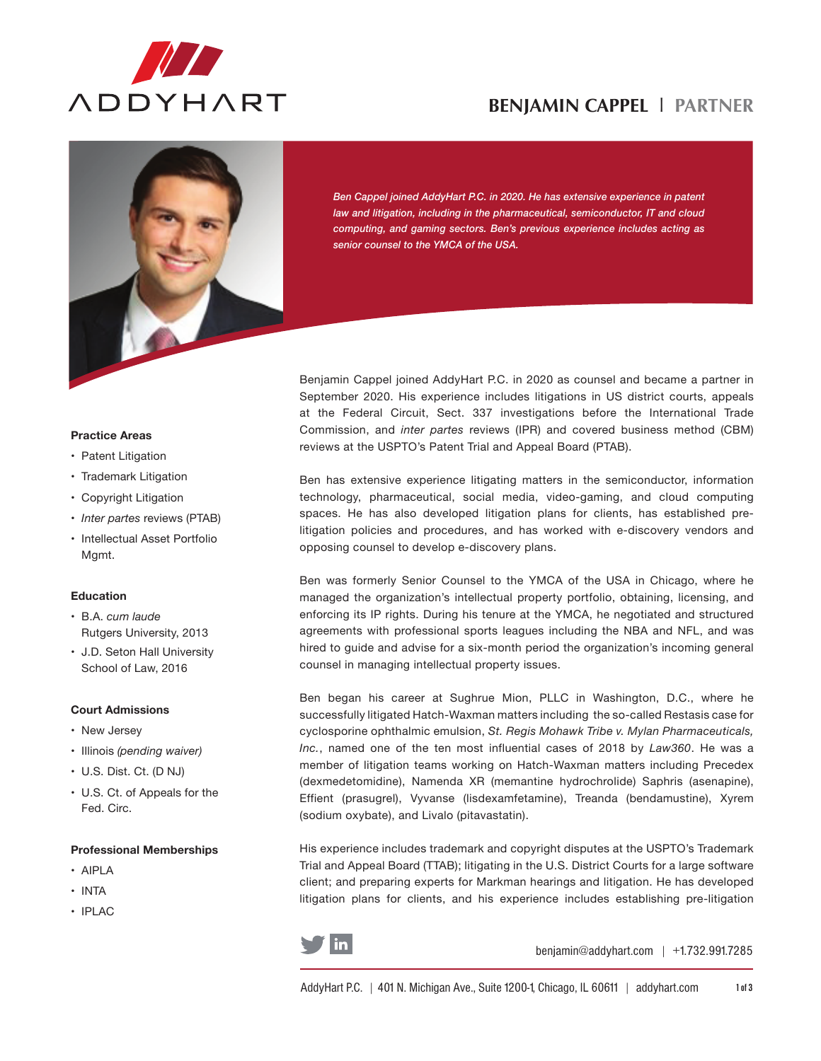

# **BENJAMIN CAPPEL** l **Partner**



Ben Cappel joined AddyHart P.C. in 2020. He has extensive experience in patent *law and litigation, including in the pharmaceutical, semiconductor, IT and cloud computing, and gaming sectors. Ben's previous experience includes acting as senior counsel to the YMCA of the USA.*

#### **Practice Areas**

- Patent Litigation
- Trademark Litigation
- Copyright Litigation
- *Inter partes* reviews (PTAB)
- Intellectual Asset Portfolio Mgmt.

## **Education**

- • B.A. *cum laude*  Rutgers University, 2013
- • J.D. Seton Hall University School of Law, 2016

## **Court Admissions**

- New Jersey
- Illinois *(pending waiver)*
- U.S. Dist. Ct. (D NJ)
- U.S. Ct. of Appeals for the Fed. Circ.

### **Professional Memberships**

- • AIPLA
- • INTA
- • IPLAC

Benjamin Cappel joined AddyHart P.C. in 2020 as counsel and became a partner in September 2020. His experience includes litigations in US district courts, appeals at the Federal Circuit, Sect. 337 investigations before the International Trade Commission, and *inter partes* reviews (IPR) and covered business method (CBM) reviews at the USPTO's Patent Trial and Appeal Board (PTAB).

Ben has extensive experience litigating matters in the semiconductor, information technology, pharmaceutical, social media, video-gaming, and cloud computing spaces. He has also developed litigation plans for clients, has established prelitigation policies and procedures, and has worked with e-discovery vendors and opposing counsel to develop e-discovery plans.

Ben was formerly Senior Counsel to the YMCA of the USA in Chicago, where he managed the organization's intellectual property portfolio, obtaining, licensing, and enforcing its IP rights. During his tenure at the YMCA, he negotiated and structured agreements with professional sports leagues including the NBA and NFL, and was hired to guide and advise for a six-month period the organization's incoming general counsel in managing intellectual property issues.

Ben began his career at Sughrue Mion, PLLC in Washington, D.C., where he successfully litigated Hatch-Waxman matters including the so-called Restasis case for cyclosporine ophthalmic emulsion, *St. Regis Mohawk Tribe v. Mylan Pharmaceuticals, Inc.*, named one of the ten most influential cases of 2018 by *Law360*. He was a member of litigation teams working on Hatch-Waxman matters including Precedex (dexmedetomidine), Namenda XR (memantine hydrochrolide) Saphris (asenapine), Effient (prasugrel), Vyvanse (lisdexamfetamine), Treanda (bendamustine), Xyrem (sodium oxybate), and Livalo (pitavastatin).

His experience includes trademark and copyright disputes at the USPTO's Trademark Trial and Appeal Board (TTAB); litigating in the U.S. District Courts for a large software client; and preparing experts for Markman hearings and litigation. He has developed litigation plans for clients, and his experience includes establishing pre-litigation



benjamin@addyhart.com | +1.732.991.7285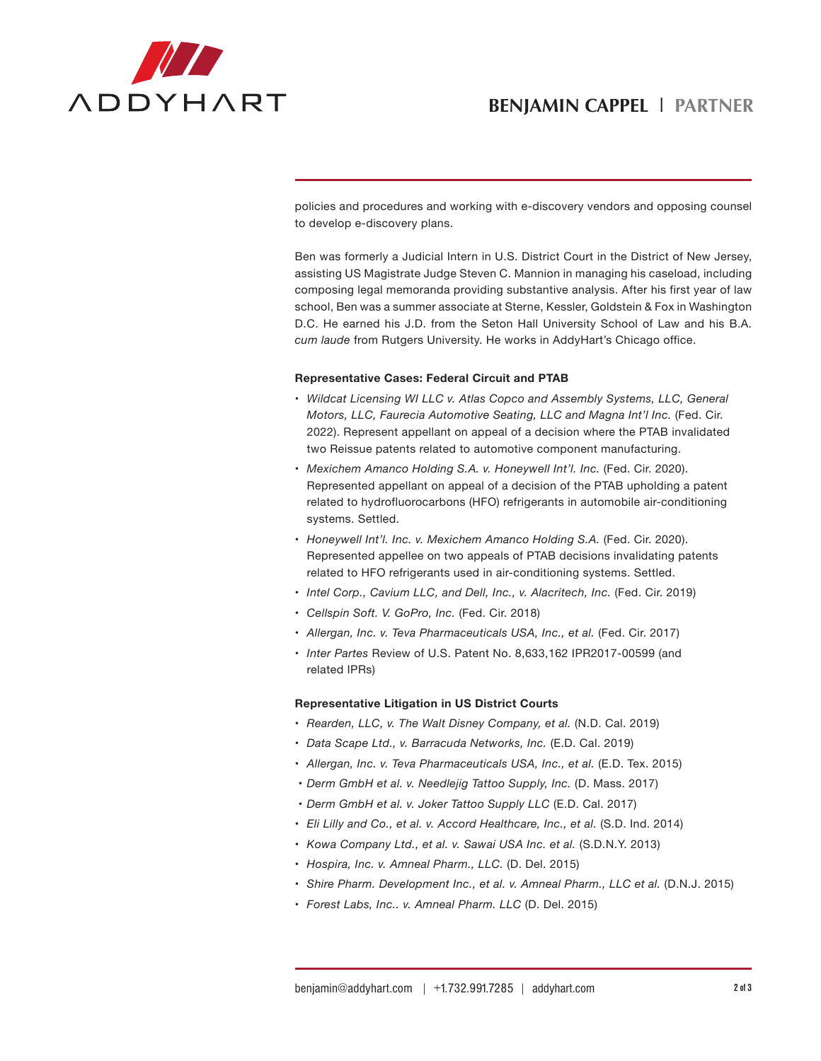## **BENJAMIN CAPPEL** l **Partner**



policies and procedures and working with e-discovery vendors and opposing counsel to develop e-discovery plans.

Ben was formerly a Judicial Intern in U.S. District Court in the District of New Jersey, assisting US Magistrate Judge Steven C. Mannion in managing his caseload, including composing legal memoranda providing substantive analysis. After his first year of law school, Ben was a summer associate at Sterne, Kessler, Goldstein & Fox in Washington D.C. He earned his J.D. from the Seton Hall University School of Law and his B.A. *cum laude* from Rutgers University. He works in AddyHart's Chicago office.

### **Representative Cases: Federal Circuit and PTAB**

- • *Wildcat Licensing WI LLC v. Atlas Copco and Assembly Systems, LLC, General Motors, LLC, Faurecia Automotive Seating, LLC and Magna Int'l Inc.* (Fed. Cir. 2022). Represent appellant on appeal of a decision where the PTAB invalidated two Reissue patents related to automotive component manufacturing.
- • *Mexichem Amanco Holding S.A. v. Honeywell Int'l. Inc.* (Fed. Cir. 2020). Represented appellant on appeal of a decision of the PTAB upholding a patent related to hydrofluorocarbons (HFO) refrigerants in automobile air-conditioning systems. Settled.
- • *Honeywell Int'l. Inc. v. Mexichem Amanco Holding S.A.* (Fed. Cir. 2020). Represented appellee on two appeals of PTAB decisions invalidating patents related to HFO refrigerants used in air-conditioning systems. Settled.
- Intel Corp., Cavium LLC, and Dell, Inc., v. Alacritech, Inc. (Fed. Cir. 2019)
- • *Cellspin Soft. V. GoPro, Inc.* (Fed. Cir. 2018)
- Allergan, Inc. v. Teva Pharmaceuticals USA, Inc., et al. (Fed. Cir. 2017)
- • *Inter Partes* Review of U.S. Patent No. 8,633,162 IPR2017-00599 (and related IPRs)

#### **Representative Litigation in US District Courts**

- • *Rearden, LLC, v. The Walt Disney Company, et al.* (N.D. Cal. 2019)
- • *Data Scape Ltd., v. Barracuda Networks, Inc.* (E.D. Cal. 2019)
- • *Allergan, Inc. v. Teva Pharmaceuticals USA, Inc., et al.* (E.D. Tex. 2015)
- • *Derm GmbH et al. v. Needlejig Tattoo Supply, Inc.* (D. Mass. 2017)
- • *Derm GmbH et al. v. Joker Tattoo Supply LLC* (E.D. Cal. 2017)
- • *Eli Lilly and Co., et al. v. Accord Healthcare, Inc., et al.* (S.D. Ind. 2014)
- • *Kowa Company Ltd., et al. v. Sawai USA Inc. et al.* (S.D.N.Y. 2013)
- • *Hospira, Inc. v. Amneal Pharm., LLC.* (D. Del. 2015)
- • *Shire Pharm. Development Inc., et al. v. Amneal Pharm., LLC et al.* (D.N.J. 2015)
- • *Forest Labs, Inc.. v. Amneal Pharm. LLC* (D. Del. 2015)